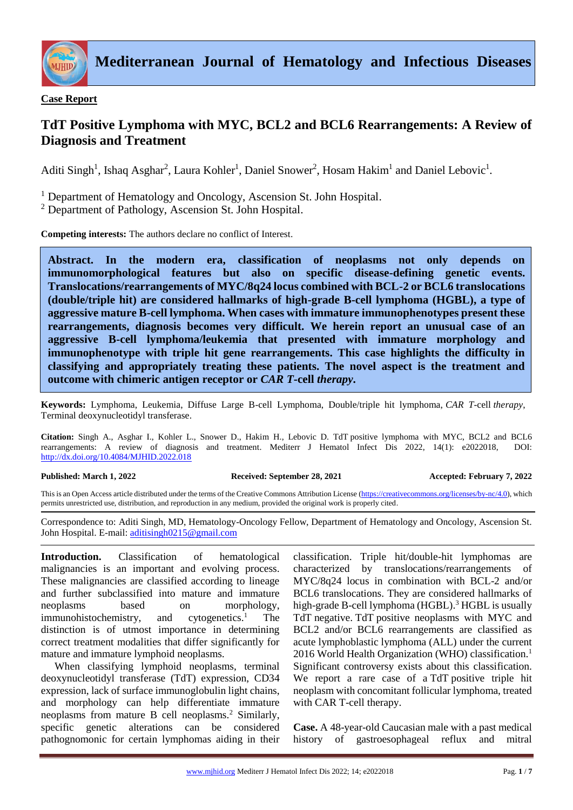

**Case Report**

# **TdT Positive Lymphoma with MYC, BCL2 and BCL6 Rearrangements: A Review of Diagnosis and Treatment**

Aditi Singh<sup>1</sup>, Ishaq Asghar<sup>2</sup>, Laura Kohler<sup>1</sup>, Daniel Snower<sup>2</sup>, Hosam Hakim<sup>1</sup> and Daniel Lebovic<sup>1</sup>.

<sup>1</sup> Department of Hematology and Oncology, Ascension St. John Hospital.

<sup>2</sup> Department of Pathology, Ascension St. John Hospital.

**Competing interests:** The authors declare no conflict of Interest.

**Abstract. In the modern era, classification of neoplasms not only depends on immunomorphological features but also on specific disease-defining genetic events. Translocations/rearrangements of MYC/8q24 locus combined with BCL-2 or BCL6 translocations (double/triple hit) are considered hallmarks of high-grade B-cell lymphoma (HGBL), a type of aggressive mature B-cell lymphoma. When cases with immature immunophenotypes present these rearrangements, diagnosis becomes very difficult. We herein report an unusual case of an aggressive B-cell lymphoma/leukemia that presented with immature morphology and immunophenotype with triple hit gene rearrangements. This case highlights the difficulty in classifying and appropriately treating these patients. The novel aspect is the treatment and outcome with chimeric antigen receptor or** *CAR T***-cell** *therapy***.** 

**Keywords:** Lymphoma, Leukemia, Diffuse Large B-cell Lymphoma, Double/triple hit lymphoma, *CAR T*-cell *therapy*, Terminal deoxynucleotidyl transferase.

**Citation:** Singh A., Asghar I., Kohler L., Snower D., Hakim H., Lebovic D. TdT positive lymphoma with MYC, BCL2 and BCL6 rearrangements: A review of diagnosis and treatment. Mediterr J Hematol Infect Dis 2022, 14(1): e2022018, DOI: <http://dx.doi.org/10.4084/MJHID.2022.018>

### **Published: March 1, 2022 Received: September 28, 2021 Accepted: February 7, 2022**

This is an Open Access article distributed under the terms of the Creative Commons Attribution License [\(https://creativecommons.org/licenses/by-nc/4.0\)](https://creativecommons.org/licenses/by-nc/4.0), which permits unrestricted use, distribution, and reproduction in any medium, provided the original work is properly cited.

Correspondence to: Aditi Singh, MD, Hematology-Oncology Fellow, Department of Hematology and Oncology, Ascension St. John Hospital. E-mail: [aditisingh0215@gmail.com](mailto:aditisingh0215@gmail.com)

**Introduction.** Classification of hematological malignancies is an important and evolving process. These malignancies are classified according to lineage and further subclassified into mature and immature neoplasms based on morphology, immunohistochemistry, and cytogenetics.<sup>1</sup> The distinction is of utmost importance in determining correct treatment modalities that differ significantly for mature and immature lymphoid neoplasms.

When classifying lymphoid neoplasms, terminal deoxynucleotidyl transferase (TdT) expression, CD34 expression, lack of surface immunoglobulin light chains, and morphology can help differentiate immature neoplasms from mature B cell neoplasms.<sup>2</sup> Similarly, specific genetic alterations can be considered pathognomonic for certain lymphomas aiding in their classification. Triple hit/double-hit lymphomas are characterized by translocations/rearrangements of MYC/8q24 locus in combination with BCL-2 and/or BCL6 translocations. They are considered hallmarks of high-grade B-cell lymphoma (HGBL).<sup>3</sup> HGBL is usually TdT negative. TdT positive neoplasms with MYC and BCL2 and/or BCL6 rearrangements are classified as acute lymphoblastic lymphoma (ALL) under the current 2016 World Health Organization (WHO) classification.<sup>1</sup> Significant controversy exists about this classification. We report a rare case of a TdT positive triple hit neoplasm with concomitant follicular lymphoma, treated with CAR T-cell therapy.

**Case.** A 48-year-old Caucasian male with a past medical history of gastroesophageal reflux and mitral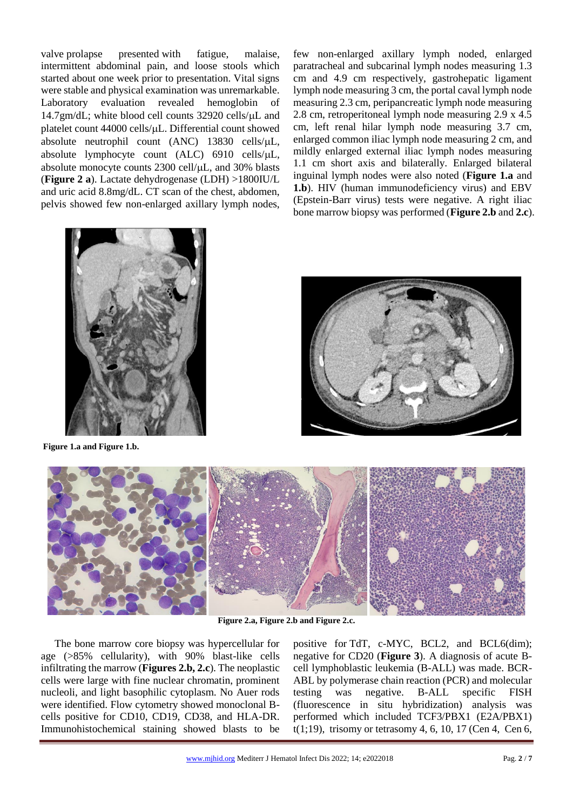valve prolapse presented with fatigue, malaise, intermittent abdominal pain, and loose stools which started about one week prior to presentation. Vital signs were stable and physical examination was unremarkable. Laboratory evaluation revealed hemoglobin of  $14.7gm/dL$ ; white blood cell counts 32920 cells/ $\mu$ L and platelet count 44000 cells/µL. Differential count showed absolute neutrophil count (ANC) 13830 cells/L, absolute lymphocyte count (ALC) 6910 cells/ $\mu$ L, absolute monocyte counts 2300 cell/ $\mu$ L, and 30% blasts (**Figure 2 a**). Lactate dehydrogenase (LDH) >1800IU/L and uric acid 8.8mg/dL. CT scan of the chest, abdomen, pelvis showed few non-enlarged axillary lymph nodes,

few non-enlarged axillary lymph noded, enlarged paratracheal and subcarinal lymph nodes measuring 1.3 cm and 4.9 cm respectively, gastrohepatic ligament lymph node measuring 3 cm, the portal caval lymph node measuring 2.3 cm, peripancreatic lymph node measuring 2.8 cm, retroperitoneal lymph node measuring 2.9 x 4.5 cm, left renal hilar lymph node measuring 3.7 cm, enlarged common iliac lymph node measuring 2 cm, and mildly enlarged external iliac lymph nodes measuring 1.1 cm short axis and bilaterally. Enlarged bilateral inguinal lymph nodes were also noted (**Figure 1.a** and **1.b**). HIV (human immunodeficiency virus) and EBV (Epstein-Barr virus) tests were negative. A right iliac bone marrow biopsy was performed (**Figure 2.b** and **2.c**).



**Figure 1.a and Figure 1.b.**





**Figure 2.a, Figure 2.b and Figure 2.c.**

The bone marrow core biopsy was hypercellular for age (>85% cellularity), with 90% blast-like cells infiltrating the marrow (**Figures 2.b, 2.c**). The neoplastic cells were large with fine nuclear chromatin, prominent nucleoli, and light basophilic cytoplasm. No Auer rods were identified. Flow cytometry showed monoclonal Bcells positive for CD10, CD19, CD38, and HLA-DR. Immunohistochemical staining showed blasts to be positive for TdT, c-MYC, BCL2, and BCL6(dim); negative for CD20 (**Figure 3**). A diagnosis of acute Bcell lymphoblastic leukemia (B-ALL) was made. BCR-ABL by polymerase chain reaction (PCR) and molecular testing was negative. B-ALL specific FISH (fluorescence in situ hybridization) analysis was performed which included TCF3/PBX1 (E2A/PBX1) t(1;19), trisomy or tetrasomy 4, 6, 10, 17 (Cen 4, Cen 6,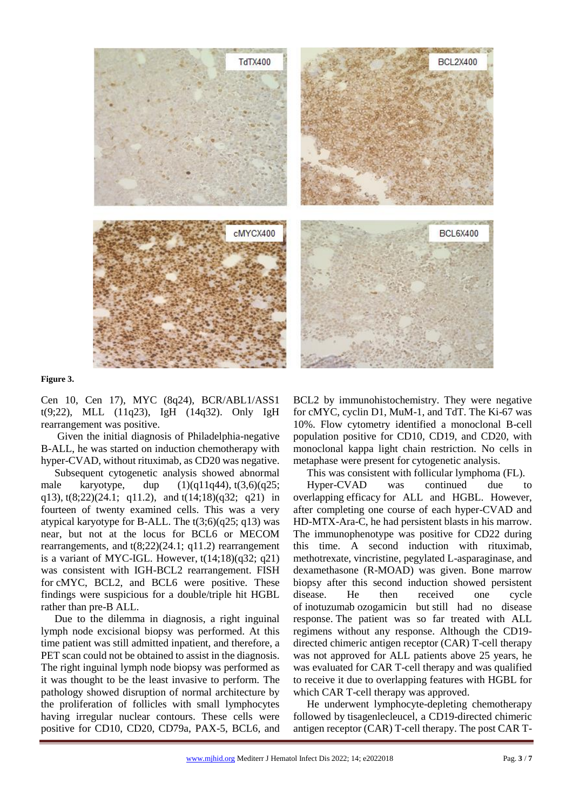

#### **Figure 3.**

Cen 10, Cen 17), MYC (8q24), BCR/ABL1/ASS1 t(9;22), MLL (11q23), IgH (14q32). Only IgH rearrangement was positive.

Given the initial diagnosis of Philadelphia-negative B-ALL, he was started on induction chemotherapy with hyper-CVAD, without rituximab, as CD20 was negative.

Subsequent cytogenetic analysis showed abnormal male karyotype, dup  $(1)(q11q44)$ ,  $t(3,6)(q25)$ ; q13), t(8;22)(24.1; q11.2), and t(14;18)(q32; q21) in fourteen of twenty examined cells. This was a very atypical karyotype for B-ALL. The  $t(3;6)(q25; q13)$  was near, but not at the locus for BCL6 or MECOM rearrangements, and t(8;22)(24.1; q11.2) rearrangement is a variant of MYC-IGL. However,  $t(14;18)(q32; q21)$ was consistent with IGH-BCL2 rearrangement. FISH for cMYC, BCL2, and BCL6 were positive. These findings were suspicious for a double/triple hit HGBL rather than pre-B ALL.

Due to the dilemma in diagnosis, a right inguinal lymph node excisional biopsy was performed. At this time patient was still admitted inpatient, and therefore, a PET scan could not be obtained to assist in the diagnosis. The right inguinal lymph node biopsy was performed as it was thought to be the least invasive to perform. The pathology showed disruption of normal architecture by the proliferation of follicles with small lymphocytes having irregular nuclear contours. These cells were positive for CD10, CD20, CD79a, PAX-5, BCL6, and

BCL2 by immunohistochemistry. They were negative for cMYC, cyclin D1, MuM-1, and TdT. The Ki-67 was 10%. Flow cytometry identified a monoclonal B-cell population positive for CD10, CD19, and CD20, with monoclonal kappa light chain restriction. No cells in metaphase were present for cytogenetic analysis.

This was consistent with follicular lymphoma (FL).

Hyper-CVAD was continued due to overlapping efficacy for ALL and HGBL. However, after completing one course of each hyper-CVAD and HD-MTX-Ara-C, he had persistent blasts in his marrow. The immunophenotype was positive for CD22 during this time. A second induction with rituximab, methotrexate, vincristine, pegylated L-asparaginase, and dexamethasone (R-MOAD) was given. Bone marrow biopsy after this second induction showed persistent disease. He then received one cycle of inotuzumab ozogamicin but still had no disease response. The patient was so far treated with ALL regimens without any response. Although the CD19 directed chimeric antigen receptor (CAR) T-cell therapy was not approved for ALL patients above 25 years, he was evaluated for CAR T-cell therapy and was qualified to receive it due to overlapping features with HGBL for which CAR T-cell therapy was approved.

He underwent lymphocyte-depleting chemotherapy followed by tisagenlecleucel, a CD19-directed chimeric antigen receptor (CAR) T-cell therapy. The post CAR T-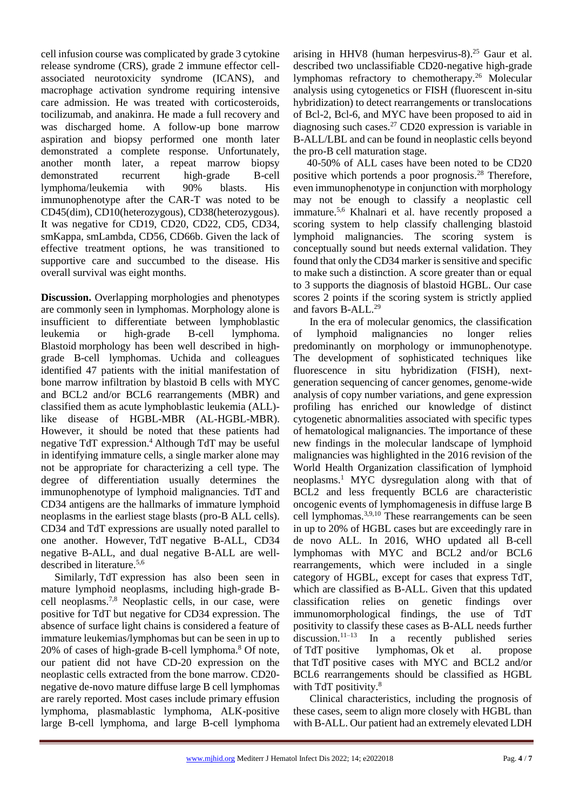cell infusion course was complicated by grade 3 cytokine release syndrome (CRS), grade 2 immune effector cellassociated neurotoxicity syndrome (ICANS), and macrophage activation syndrome requiring intensive care admission. He was treated with corticosteroids, tocilizumab, and anakinra. He made a full recovery and was discharged home. A follow-up bone marrow aspiration and biopsy performed one month later demonstrated a complete response. Unfortunately, another month later, a repeat marrow biopsy demonstrated recurrent high-grade B-cell lymphoma/leukemia with 90% blasts. His immunophenotype after the CAR-T was noted to be CD45(dim), CD10(heterozygous), CD38(heterozygous). It was negative for CD19, CD20, CD22, CD5, CD34, smKappa, smLambda, CD56, CD66b. Given the lack of effective treatment options, he was transitioned to supportive care and succumbed to the disease. His overall survival was eight months.

**Discussion.** Overlapping morphologies and phenotypes are commonly seen in lymphomas. Morphology alone is insufficient to differentiate between lymphoblastic leukemia or high-grade B-cell lymphoma. Blastoid morphology has been well described in highgrade B-cell lymphomas. Uchida and colleagues identified 47 patients with the initial manifestation of bone marrow infiltration by blastoid B cells with MYC and BCL2 and/or BCL6 rearrangements (MBR) and classified them as acute lymphoblastic leukemia (ALL) like disease of HGBL-MBR (AL-HGBL-MBR). However, it should be noted that these patients had negative TdT expression.<sup>4</sup> Although TdT may be useful in identifying immature cells, a single marker alone may not be appropriate for characterizing a cell type. The degree of differentiation usually determines the immunophenotype of lymphoid malignancies. TdT and CD34 antigens are the hallmarks of immature lymphoid neoplasms in the earliest stage blasts (pro-B ALL cells). CD34 and TdT expressions are usually noted parallel to one another. However, TdT negative B-ALL, CD34 negative B-ALL, and dual negative B-ALL are welldescribed in literature.<sup>5,6</sup>

Similarly, TdT expression has also been seen in mature lymphoid neoplasms, including high-grade Bcell neoplasms.7,8 Neoplastic cells, in our case, were positive for TdT but negative for CD34 expression. The absence of surface light chains is considered a feature of immature leukemias/lymphomas but can be seen in up to  $20\%$  of cases of high-grade B-cell lymphoma.<sup>8</sup> Of note, our patient did not have CD-20 expression on the neoplastic cells extracted from the bone marrow. CD20 negative de-novo mature diffuse large B cell lymphomas are rarely reported. Most cases include primary effusion lymphoma, plasmablastic lymphoma, ALK-positive large B-cell lymphoma, and large B-cell lymphoma

arising in HHV8 (human herpesvirus-8).<sup>25</sup> Gaur et al. described two unclassifiable CD20-negative high-grade lymphomas refractory to chemotherapy.<sup>26</sup> Molecular analysis using cytogenetics or FISH (fluorescent in-situ hybridization) to detect rearrangements or translocations of Bcl-2, Bcl-6, and MYC have been proposed to aid in diagnosing such cases.<sup>27</sup> CD20 expression is variable in B-ALL/LBL and can be found in neoplastic cells beyond the pro-B cell maturation stage.

40-50% of ALL cases have been noted to be CD20 positive which portends a poor prognosis.<sup>28</sup> Therefore, even immunophenotype in conjunction with morphology may not be enough to classify a neoplastic cell immature.<sup>5,6</sup> Khalnari et al. have recently proposed a scoring system to help classify challenging blastoid lymphoid malignancies. The scoring system is conceptually sound but needs external validation. They found that only the CD34 marker is sensitive and specific to make such a distinction. A score greater than or equal to 3 supports the diagnosis of blastoid HGBL. Our case scores 2 points if the scoring system is strictly applied and favors B-ALL.<sup>29</sup>

In the era of molecular genomics, the classification of lymphoid malignancies no longer relies predominantly on morphology or immunophenotype. The development of sophisticated techniques like fluorescence in situ hybridization (FISH), nextgeneration sequencing of cancer genomes, genome-wide analysis of copy number variations, and gene expression profiling has enriched our knowledge of distinct cytogenetic abnormalities associated with specific types of hematological malignancies. The importance of these new findings in the molecular landscape of lymphoid malignancies was highlighted in the 2016 revision of the World Health Organization classification of lymphoid neoplasms.<sup>1</sup> MYC dysregulation along with that of BCL2 and less frequently BCL6 are characteristic oncogenic events of lymphomagenesis in diffuse large B cell lymphomas.3,9,10 These rearrangements can be seen in up to 20% of HGBL cases but are exceedingly rare in de novo ALL. In 2016, WHO updated all B-cell lymphomas with MYC and BCL2 and/or BCL6 rearrangements, which were included in a single category of HGBL, except for cases that express TdT, which are classified as B-ALL. Given that this updated classification relies on genetic findings over immunomorphological findings, the use of TdT positivity to classify these cases as B-ALL needs further discussion.<sup>11–13</sup> In a recently published series of TdT positive lymphomas, Ok et al. propose that TdT positive cases with MYC and BCL2 and/or BCL6 rearrangements should be classified as HGBL with TdT positivity.<sup>8</sup>

Clinical characteristics, including the prognosis of these cases, seem to align more closely with HGBL than with B-ALL. Our patient had an extremely elevated LDH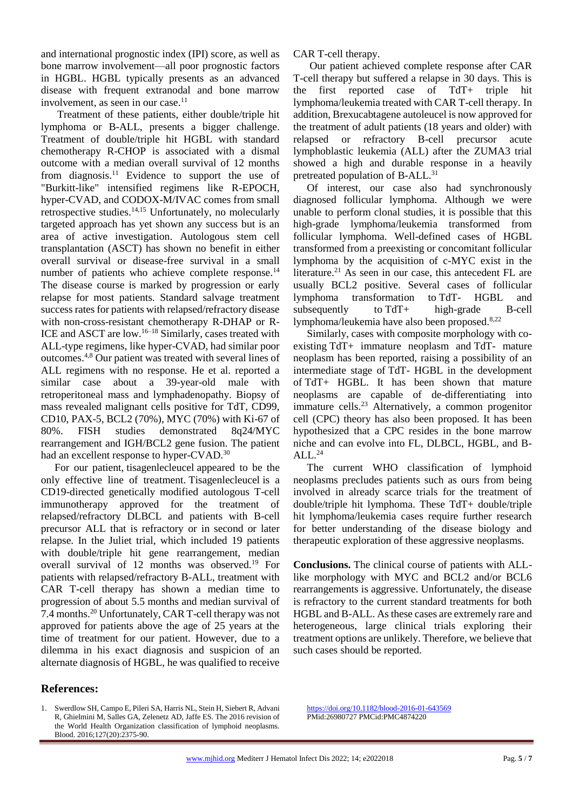and international prognostic index (IPI) score, as well as bone marrow involvement—all poor prognostic factors in HGBL. HGBL typically presents as an advanced disease with frequent extranodal and bone marrow involvement, as seen in our case. $11$ 

Treatment of these patients, either double/triple hit lymphoma or B-ALL, presents a bigger challenge. Treatment of double/triple hit HGBL with standard chemotherapy R-CHOP is associated with a dismal outcome with a median overall survival of 12 months from diagnosis.<sup>11</sup> Evidence to support the use of "Burkitt-like" intensified regimens like R-EPOCH, hyper-CVAD, and CODOX-M/IVAC comes from small retrospective studies.14,15 Unfortunately, no molecularly targeted approach has yet shown any success but is an area of active investigation. Autologous stem cell transplantation (ASCT) has shown no benefit in either overall survival or disease-free survival in a small number of patients who achieve complete response.<sup>14</sup> The disease course is marked by progression or early relapse for most patients. Standard salvage treatment success rates for patients with relapsed/refractory disease with non-cross-resistant chemotherapy R-DHAP or R-ICE and ASCT are low.16–18 Similarly, cases treated with ALL-type regimens, like hyper-CVAD, had similar poor outcomes.4,8 Our patient was treated with several lines of ALL regimens with no response. He et al. reported a similar case about a 39-year-old male with retroperitoneal mass and lymphadenopathy. Biopsy of mass revealed malignant cells positive for TdT, CD99, CD10, PAX-5, BCL2 (70%), MYC (70%) with Ki-67 of 80%. FISH studies demonstrated 8q24/MYC rearrangement and IGH/BCL2 gene fusion. The patient had an excellent response to hyper-CVAD.<sup>30</sup>

For our patient, tisagenlecleucel appeared to be the only effective line of treatment. Tisagenlecleucel is a CD19-directed genetically modified autologous T-cell immunotherapy approved for the treatment of relapsed/refractory DLBCL and patients with B-cell precursor ALL that is refractory or in second or later relapse. In the Juliet trial, which included 19 patients with double/triple hit gene rearrangement, median overall survival of 12 months was observed.<sup>19</sup> For patients with relapsed/refractory B-ALL, treatment with CAR T-cell therapy has shown a median time to progression of about 5.5 months and median survival of 7.4 months.<sup>20</sup> Unfortunately, CAR T-cell therapy was not approved for patients above the age of 25 years at the time of treatment for our patient. However, due to a dilemma in his exact diagnosis and suspicion of an alternate diagnosis of HGBL, he was qualified to receive

## **References:**

1. Swerdlow SH, Campo E, Pileri SA, Harris NL, Stein H, Siebert R, Advani R, Ghielmini M, Salles GA, Zelenetz AD, Jaffe ES. The 2016 revision of the World Health Organization classification of lymphoid neoplasms. Blood. 2016;127(20):2375-90.

CAR T-cell therapy.

Our patient achieved complete response after CAR T-cell therapy but suffered a relapse in 30 days. This is the first reported case of TdT+ triple hit lymphoma/leukemia treated with CAR T-cell therapy. In addition, Brexucabtagene autoleucel is now approved for the treatment of adult patients (18 years and older) with relapsed or refractory B-cell precursor acute lymphoblastic leukemia (ALL) after the ZUMA3 trial showed a high and durable response in a heavily pretreated population of B-ALL.<sup>31</sup>

Of interest, our case also had synchronously diagnosed follicular lymphoma. Although we were unable to perform clonal studies, it is possible that this high-grade lymphoma/leukemia transformed from follicular lymphoma. Well-defined cases of HGBL transformed from a preexisting or concomitant follicular lymphoma by the acquisition of c-MYC exist in the literature.<sup>21</sup> As seen in our case, this antecedent FL are usually BCL2 positive. Several cases of follicular lymphoma transformation to TdT- HGBL and subsequently to TdT+ high-grade B-cell lymphoma/leukemia have also been proposed.<sup>8,22</sup>

Similarly, cases with composite morphology with coexisting TdT+ immature neoplasm and TdT- mature neoplasm has been reported, raising a possibility of an intermediate stage of TdT- HGBL in the development of TdT+ HGBL. It has been shown that mature neoplasms are capable of de-differentiating into immature cells.<sup>23</sup> Alternatively, a common progenitor cell (CPC) theory has also been proposed. It has been hypothesized that a CPC resides in the bone marrow niche and can evolve into FL, DLBCL, HGBL, and B- $ALL.<sup>24</sup>$ 

The current WHO classification of lymphoid neoplasms precludes patients such as ours from being involved in already scarce trials for the treatment of double/triple hit lymphoma. These TdT+ double/triple hit lymphoma/leukemia cases require further research for better understanding of the disease biology and therapeutic exploration of these aggressive neoplasms.

**Conclusions.** The clinical course of patients with ALLlike morphology with MYC and BCL2 and/or BCL6 rearrangements is aggressive. Unfortunately, the disease is refractory to the current standard treatments for both HGBL and B-ALL. As these cases are extremely rare and heterogeneous, large clinical trials exploring their treatment options are unlikely. Therefore, we believe that such cases should be reported.

<https://doi.org/10.1182/blood-2016-01-643569> PMid:26980727 PMCid:PMC4874220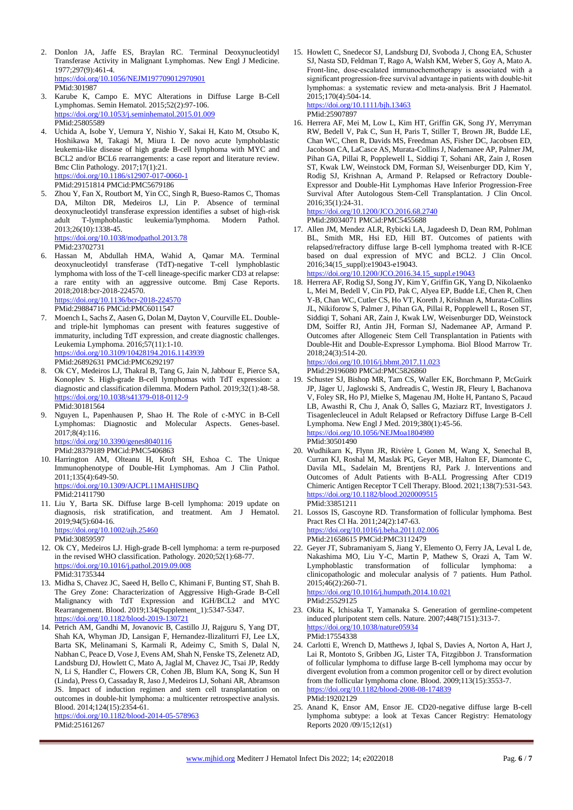- 2. Donlon JA, Jaffe ES, Braylan RC. Terminal Deoxynucleotidyl Transferase Activity in Malignant Lymphomas. New Engl J Medicine. 1977;297(9):461-4. <https://doi.org/10.1056/NEJM197709012970901> PMid:301987
- 3. Karube K, Campo E. MYC Alterations in Diffuse Large B-Cell Lymphomas. Semin Hematol. 2015;52(2):97-106. <https://doi.org/10.1053/j.seminhematol.2015.01.009> PMid:25805589
- 4. Uchida A, Isobe Y, Uemura Y, Nishio Y, Sakai H, Kato M, Otsubo K, Hoshikawa M, Takagi M, Miura I. De novo acute lymphoblastic leukemia-like disease of high grade B-cell lymphoma with MYC and BCL2 and/or BCL6 rearrangements: a case report and literature review. Bmc Clin Pathology. 2017;17(1):21. <https://doi.org/10.1186/s12907-017-0060-1>

PMid:29151814 PMCid:PMC5679186

5. Zhou Y, Fan X, Routbort M, Yin CC, Singh R, Bueso-Ramos C, Thomas DA, Milton DR, Medeiros LJ, Lin P. Absence of terminal deoxynucleotidyl transferase expression identifies a subset of high-risk adult T-lymphoblastic leukemia/lymphoma. Modern Pathol. 2013;26(10):1338-45. <https://doi.org/10.1038/modpathol.2013.78>

PMid:23702731

6. Hassan M, Abdullah HMA, Wahid A, Qamar MA. Terminal deoxynucleotidyl transferase (TdT)-negative T-cell lymphoblastic lymphoma with loss of the T-cell lineage-specific marker CD3 at relapse: a rare entity with an aggressive outcome. Bmj Case Reports. 2018;2018:bcr-2018-224570. <https://doi.org/10.1136/bcr-2018-224570>

PMid:29884716 PMCid:PMC6011547

- 7. Moench L, Sachs Z, Aasen G, Dolan M, Dayton V, Courville EL. Doubleand triple-hit lymphomas can present with features suggestive of immaturity, including TdT expression, and create diagnostic challenges. Leukemia Lymphoma. 2016;57(11):1-10. <https://doi.org/10.3109/10428194.2016.1143939> PMid:26892631 PMCid:PMC6292197
- 8. Ok CY, Medeiros LJ, Thakral B, Tang G, Jain N, Jabbour E, Pierce SA, Konoplev S. High-grade B-cell lymphomas with TdT expression: a diagnostic and classification dilemma. Modern Pathol. 2019;32(1):48-58. <https://doi.org/10.1038/s41379-018-0112-9> PMid:30181564
- 9. Nguyen L, Papenhausen P, Shao H. The Role of c-MYC in B-Cell Lymphomas: Diagnostic and Molecular Aspects. Genes-basel. 2017;8(4):116. <https://doi.org/10.3390/genes8040116> PMid:28379189 PMCid:PMC5406863

10. Harrington AM, Olteanu H, Kroft SH, Eshoa C. The Unique Immunophenotype of Double-Hit Lymphomas. Am J Clin Pathol. 2011;135(4):649-50. <https://doi.org/10.1309/AJCPL11MAHISIJBQ>

- PMid:21411790
- 11. Liu Y, Barta SK. Diffuse large B-cell lymphoma: 2019 update on diagnosis, risk stratification, and treatment. Am J Hematol. 2019;94(5):604-16. <https://doi.org/10.1002/ajh.25460> PMid:30859597
- 12. Ok CY, Medeiros LJ. High-grade B-cell lymphoma: a term re-purposed in the revised WHO classification. Pathology. 2020;52(1):68-77. <https://doi.org/10.1016/j.pathol.2019.09.008> PMid:31735344
- 13. Midha S, Chavez JC, Saeed H, Bello C, Khimani F, Bunting ST, Shah B. The Grey Zone: Characterization of Aggressive High-Grade B-Cell Malignancy with TdT Expression and IGH/BCL2 and MYC Rearrangement. Blood. 2019;134(Supplement\_1):5347-5347. <https://doi.org/10.1182/blood-2019-130721>
- 14. Petrich AM, Gandhi M, Jovanovic B, Castillo JJ, Rajguru S, Yang DT, Shah KA, Whyman JD, Lansigan F, Hernandez-Ilizaliturri FJ, Lee LX, Barta SK, Melinamani S, Karmali R, Adeimy C, Smith S, Dalal N, Nabhan C, Peace D, Vose J, Evens AM, Shah N, Fenske TS, Zelenetz AD, Landsburg DJ, Howlett C, Mato A, Jaglal M, Chavez JC, Tsai JP, Reddy N, Li S, Handler C, Flowers CR, Cohen JB, Blum KA, Song K, Sun H (Linda), Press O, Cassaday R, Jaso J, Medeiros LJ, Sohani AR, Abramson JS. Impact of induction regimen and stem cell transplantation on outcomes in double-hit lymphoma: a multicenter retrospective analysis. Blood. 2014;124(15):2354-61.

<https://doi.org/10.1182/blood-2014-05-578963> PMid:25161267

15. Howlett C, Snedecor SJ, Landsburg DJ, Svoboda J, Chong EA, Schuster SJ, Nasta SD, Feldman T, Rago A, Walsh KM, Weber S, Goy A, Mato A. Front-line, dose-escalated immunochemotherapy is associated with a significant progression-free survival advantage in patients with double-hit lymphomas: a systematic review and meta‐analysis. Brit J Haematol. 2015;170(4):504-14. <https://doi.org/10.1111/bjh.13463>

PMid:25907897

16. Herrera AF, Mei M, Low L, Kim HT, Griffin GK, Song JY, Merryman RW, Bedell V, Pak C, Sun H, Paris T, Stiller T, Brown JR, Budde LE, Chan WC, Chen R, Davids MS, Freedman AS, Fisher DC, Jacobsen ED, Jacobson CA, LaCasce AS, Murata-Collins J, Nademanee AP, Palmer JM, Pihan GA, Pillai R, Popplewell L, Siddiqi T, Sohani AR, Zain J, Rosen ST, Kwak LW, Weinstock DM, Forman SJ, Weisenburger DD, Kim Y, Rodig SJ, Krishnan A, Armand P. Relapsed or Refractory Double-Expressor and Double-Hit Lymphomas Have Inferior Progression-Free Survival After Autologous Stem-Cell Transplantation. J Clin Oncol. 2016;35(1):24-31.

<https://doi.org/10.1200/JCO.2016.68.2740>

- PMid:28034071 PMCid:PMC5455688
- 17. Allen JM, Mendez ALR, Rybicki LA, Jagadeesh D, Dean RM, Pohlman BL, Smith MR, Hsi ED, Hill BT. Outcomes of patients with relapsed/refractory diffuse large B-cell lymphoma treated with R-ICE based on dual expression of MYC and BCL2. J Clin Oncol. 2016;34(15\_suppl):e19043-e19043.

[https://doi.org/10.1200/JCO.2016.34.15\\_suppl.e19043](https://doi.org/10.1200/JCO.2016.34.15_suppl.e19043)

18. Herrera AF, Rodig SJ, Song JY, Kim Y, Griffin GK, Yang D, Nikolaenko L, Mei M, Bedell V, Cin PD, Pak C, Alyea EP, Budde LE, Chen R, Chen Y-B, Chan WC, Cutler CS, Ho VT, Koreth J, Krishnan A, Murata-Collins JL, Nikiforow S, Palmer J, Pihan GA, Pillai R, Popplewell L, Rosen ST, Siddiqi T, Sohani AR, Zain J, Kwak LW, Weisenburger DD, Weinstock DM, Soiffer RJ, Antin JH, Forman SJ, Nademanee AP, Armand P. Outcomes after Allogeneic Stem Cell Transplantation in Patients with Double-Hit and Double-Expressor Lymphoma. Biol Blood Marrow Tr. 2018;24(3):514-20.

#### <https://doi.org/10.1016/j.bbmt.2017.11.023>

PMid:29196080 PMCid:PMC5826860

- 19. Schuster SJ, Bishop MR, Tam CS, Waller EK, Borchmann P, McGuirk JP, Jäger U, Jaglowski S, Andreadis C, Westin JR, Fleury I, Bachanova V, Foley SR, Ho PJ, Mielke S, Magenau JM, Holte H, Pantano S, Pacaud LB, Awasthi R, Chu J, Anak Ö, Salles G, Maziarz RT, Investigators J. Tisagenlecleucel in Adult Relapsed or Refractory Diffuse Large B-Cell Lymphoma. New Engl J Med. 2019;380(1):45-56. <https://doi.org/10.1056/NEJMoa1804980> PMid:30501490
- 20. Wudhikarn K, Flynn JR, Rivière I, Gonen M, Wang X, Senechal B, Curran KJ, Roshal M, Maslak PG, Geyer MB, Halton EF, Diamonte C, Davila ML, Sadelain M, Brentjens RJ, Park J. Interventions and Outcomes of Adult Patients with B-ALL Progressing After CD19 Chimeric Antigen Receptor T Cell Therapy. Blood. 2021;138(7):531-543. <https://doi.org/10.1182/blood.2020009515> PMid:33851211
- 21. Lossos IS, Gascoyne RD. Transformation of follicular lymphoma. Best Pract Res Cl Ha. 2011;24(2):147-63. <https://doi.org/10.1016/j.beha.2011.02.006> PMid:21658615 PMCid:PMC3112479
- Geyer JT, Subramaniyam S, Jiang Y, Elemento O, Ferry JA, Leval L de, Nakashima MO, Liu Y-C, Martin P, Mathew S, Orazi A, Tam W. Lymphoblastic transformation of follicular lymphoma: clinicopathologic and molecular analysis of 7 patients. Hum Pathol.  $2015;46(2):260-71.$ <https://doi.org/10.1016/j.humpath.2014.10.021>

PMid:25529125

- 23. Okita K, Ichisaka T, Yamanaka S. Generation of germline-competent induced pluripotent stem cells. Nature. 2007;448(7151):313-7. <https://doi.org/10.1038/nature05934> PMid:17554338
- 24. Carlotti E, Wrench D, Matthews J, Iqbal S, Davies A, Norton A, Hart J, Lai R, Montoto S, Gribben JG, Lister TA, Fitzgibbon J. Transformation of follicular lymphoma to diffuse large B-cell lymphoma may occur by divergent evolution from a common progenitor cell or by direct evolution from the follicular lymphoma clone. Blood. 2009;113(15):3553-7. <https://doi.org/10.1182/blood-2008-08-174839> PMid:19202129
- 25. Anand K, Ensor AM, Ensor JE. CD20-negative diffuse large B-cell lymphoma subtype: a look at Texas Cancer Registry: Hematology Reports 2020 /09/15;12(s1)